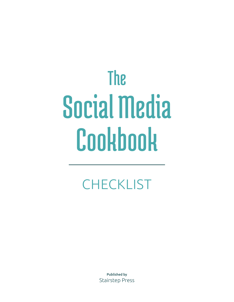# The Social Media Cookbook

## **CHECKLIST**

Published by Stairstep Press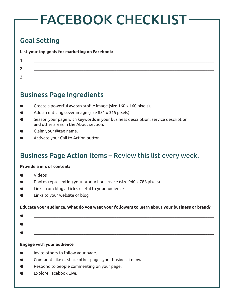## FACEBOOK CHECKLIST

## Goal Setting

**List your top goals for marketing on Facebook:**

| <u>.</u> . |  |
|------------|--|
| <u>.</u>   |  |

### Business Page Ingredients

- Create a powerful avatar/profile image (size 160 x 160 pixels).
- Add an enticing cover image (size 851 x 315 pixels).
- Season your page with keywords in your business description, service description and other areas in the About section.
- Claim your @tag name.
- Activate your Call to Action button.

## Business Page Action Items – Review this list every week.

#### **Provide a mix of content:**

- Videos
- Photos representing your product or service (size 940 x 788 pixels)
- Links from blog articles useful to your audience
- $\bullet$  Links to your website or blog

#### **Educate your audience. What do you want your followers to learn about your business or brand?**

#### **Engage with your audience**

- Invite others to follow your page.
- Comment, like or share other pages your business follows.
- Respond to people commenting on your page.
- $\bullet$  Explore Facebook Live.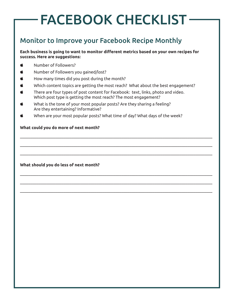## FACEBOOK CHECKLIST

## Monitor to Improve your Facebook Recipe Monthly

**Each business is going to want to monitor different metrics based on your own recipes for success. Here are suggestions:**

- Number of Followers?
- Number of Followers you gained/lost?
- $\bullet$  How many times did you post during the month?
- Which content topics are getting the most reach? What about the best engagement?

\_\_\_\_\_\_\_\_\_\_\_\_\_\_\_\_\_\_\_\_\_\_\_\_\_\_\_\_\_\_\_\_\_\_\_\_\_\_\_\_\_\_\_\_\_\_\_\_\_\_\_\_\_\_\_\_\_\_\_\_\_\_\_\_\_\_\_\_\_\_\_\_\_\_\_\_\_\_\_\_\_\_\_\_\_\_\_\_\_\_\_\_\_

\_\_\_\_\_\_\_\_\_\_\_\_\_\_\_\_\_\_\_\_\_\_\_\_\_\_\_\_\_\_\_\_\_\_\_\_\_\_\_\_\_\_\_\_\_\_\_\_\_\_\_\_\_\_\_\_\_\_\_\_\_\_\_\_\_\_\_\_\_\_\_\_\_\_\_\_\_\_\_\_\_\_\_\_\_\_\_\_\_\_\_\_\_

\_\_\_\_\_\_\_\_\_\_\_\_\_\_\_\_\_\_\_\_\_\_\_\_\_\_\_\_\_\_\_\_\_\_\_\_\_\_\_\_\_\_\_\_\_\_\_\_\_\_\_\_\_\_\_\_\_\_\_\_\_\_\_\_\_\_\_\_\_\_\_\_\_\_\_\_\_\_\_\_\_\_\_\_\_\_\_\_\_\_\_\_\_

\_\_\_\_\_\_\_\_\_\_\_\_\_\_\_\_\_\_\_\_\_\_\_\_\_\_\_\_\_\_\_\_\_\_\_\_\_\_\_\_\_\_\_\_\_\_\_\_\_\_\_\_\_\_\_\_\_\_\_\_\_\_\_\_\_\_\_\_\_\_\_\_\_\_\_\_\_\_\_\_\_\_\_\_\_\_\_\_\_\_\_\_\_

\_\_\_\_\_\_\_\_\_\_\_\_\_\_\_\_\_\_\_\_\_\_\_\_\_\_\_\_\_\_\_\_\_\_\_\_\_\_\_\_\_\_\_\_\_\_\_\_\_\_\_\_\_\_\_\_\_\_\_\_\_\_\_\_\_\_\_\_\_\_\_\_\_\_\_\_\_\_\_\_\_\_\_\_\_\_\_\_\_\_\_\_\_

\_\_\_\_\_\_\_\_\_\_\_\_\_\_\_\_\_\_\_\_\_\_\_\_\_\_\_\_\_\_\_\_\_\_\_\_\_\_\_\_\_\_\_\_\_\_\_\_\_\_\_\_\_\_\_\_\_\_\_\_\_\_\_\_\_\_\_\_\_\_\_\_\_\_\_\_\_\_\_\_\_\_\_\_\_\_\_\_\_\_\_\_\_

- There are four types of post content for Facebook: text, links, photo and video. Which post type is getting the most reach? The most engagement?
- What is the tone of your most popular posts? Are they sharing a feeling? Are they entertaining? Informative?
- When are your most popular posts? What time of day? What days of the week?

#### **What could you do more of next month?**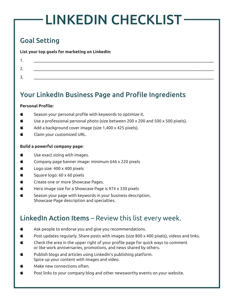## LINKEDIN CHECKLIST

## Goal Setting

**List your top goals for marketing on LinkedIn:**

| . .             |  |
|-----------------|--|
| ◠<br><u>.</u> . |  |
| ર<br><u>.</u>   |  |
|                 |  |

## Your LinkedIn Business Page and Profile Ingredients

#### **Personal Profile:**

- Season your personal profile with keywords to optimize it.
- Use a professional personal photo (size between 200 x 200 and 500 x 500 pixels).
- Add a background cover image (size 1,400 x 425 pixels).
- $\bullet$  Claim your customized URL.

#### **Build a powerful company page:**

- $\bullet$  Use exact sizing with images.
- $\bullet$  Company page banner image: minimum 646 x 220 pixels
- $\bullet$  Logo size: 400 x 400 pixels
- Square logo: 60 x 60 pixels
- Create one or more Showcase Pages.
- $\bullet$  Hero image size for a Showcase Page is 974 x 330 pixels
- Season your page with keywords in your business description, Showcase Page description and specialties.

## LinkedIn Action Items – Review this list every week.

- Ask people to endorse you and give you recommendations.
- $\bullet$  Post updates regularly. Share posts with images (size 800 x 400 pixels), videos and links.
- Check the area in the upper right of your profile page for quick ways to comment or like work anniversaries, promotions, and news shared by others.
- Publish blogs and articles using LinkedIn's publishing platform. Spice up your content with images and video.
- Make new connections often.
- Post links to your company blog and other newsworthy events on your website.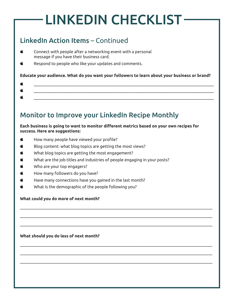## LINKEDIN CHECKLIST

## LinkedIn Action Items – Continued

- Connect with people after a networking event with a personal message if you have their business card.
- Respond to people who like your updates and comments.

#### **Educate your audience. What do you want your followers to learn about your business or brand?**

### Monitor to Improve your LinkedIn Recipe Monthly

#### **Each business is going to want to monitor different metrics based on your own recipes for success. Here are suggestions:**

\_\_\_\_\_\_\_\_\_\_\_\_\_\_\_\_\_\_\_\_\_\_\_\_\_\_\_\_\_\_\_\_\_\_\_\_\_\_\_\_\_\_\_\_\_\_\_\_\_\_\_\_\_\_\_\_\_\_\_\_\_\_\_\_\_\_\_\_\_\_\_\_\_\_\_\_\_\_\_\_\_\_\_\_\_\_\_\_\_\_\_\_\_

\_\_\_\_\_\_\_\_\_\_\_\_\_\_\_\_\_\_\_\_\_\_\_\_\_\_\_\_\_\_\_\_\_\_\_\_\_\_\_\_\_\_\_\_\_\_\_\_\_\_\_\_\_\_\_\_\_\_\_\_\_\_\_\_\_\_\_\_\_\_\_\_\_\_\_\_\_\_\_\_\_\_\_\_\_\_\_\_\_\_\_\_\_

\_\_\_\_\_\_\_\_\_\_\_\_\_\_\_\_\_\_\_\_\_\_\_\_\_\_\_\_\_\_\_\_\_\_\_\_\_\_\_\_\_\_\_\_\_\_\_\_\_\_\_\_\_\_\_\_\_\_\_\_\_\_\_\_\_\_\_\_\_\_\_\_\_\_\_\_\_\_\_\_\_\_\_\_\_\_\_\_\_\_\_\_\_

\_\_\_\_\_\_\_\_\_\_\_\_\_\_\_\_\_\_\_\_\_\_\_\_\_\_\_\_\_\_\_\_\_\_\_\_\_\_\_\_\_\_\_\_\_\_\_\_\_\_\_\_\_\_\_\_\_\_\_\_\_\_\_\_\_\_\_\_\_\_\_\_\_\_\_\_\_\_\_\_\_\_\_\_\_\_\_\_\_\_\_\_\_

\_\_\_\_\_\_\_\_\_\_\_\_\_\_\_\_\_\_\_\_\_\_\_\_\_\_\_\_\_\_\_\_\_\_\_\_\_\_\_\_\_\_\_\_\_\_\_\_\_\_\_\_\_\_\_\_\_\_\_\_\_\_\_\_\_\_\_\_\_\_\_\_\_\_\_\_\_\_\_\_\_\_\_\_\_\_\_\_\_\_\_\_\_

\_\_\_\_\_\_\_\_\_\_\_\_\_\_\_\_\_\_\_\_\_\_\_\_\_\_\_\_\_\_\_\_\_\_\_\_\_\_\_\_\_\_\_\_\_\_\_\_\_\_\_\_\_\_\_\_\_\_\_\_\_\_\_\_\_\_\_\_\_\_\_\_\_\_\_\_\_\_\_\_\_\_\_\_\_\_\_\_\_\_\_\_\_

- $\bullet$  How many people have viewed your profile?
- $\bullet$  Blog content: what blog topics are getting the most views?
- $\bullet$  What blog topics are getting the most engagement?
- What are the job titles and industries of people engaging in your posts?
- Who are your top engagers?
- $\bullet$  How many followers do you have?
- $\bullet$  Have many connections have you gained in the last month?
- What is the demographic of the people following you?

#### **What could you do more of next month?**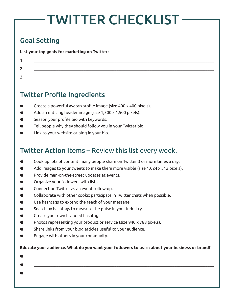## TWITTER CHECKLIST

## Goal Setting

**List your top goals for marketing on Twitter:**

| <u>.</u> .    |  |
|---------------|--|
| ∽<br><u>.</u> |  |

## Twitter Profile Ingredients

- Create a powerful avatar/profile image (size 400 x 400 pixels).
- Add an enticing header image (size 1,500 x 1,500 pixels).
- Season your profile bio with keywords.
- $\bullet$  Tell people why they should follow you in your Twitter bio.
- $\bullet$  Link to your website or blog in your bio.

## Twitter Action Items – Review this list every week.

- $\bullet$  Cook up lots of content: many people share on Twitter 3 or more times a day.
- $\bullet$  Add images to your tweets to make them more visible (size 1,024 x 512 pixels).
- Provide man-on-the-street updates at events.
- $\bullet$  Organize your followers with lists.
- $\bullet$  Connect on Twitter as an event follow-up.
- $\bullet$  Collaborate with other cooks: participate in Twitter chats when possible.
- $\bullet$  Use hashtags to extend the reach of your message.
- $\bullet$  Search by hashtags to measure the pulse in your industry.
- $\bullet$  Create your own branded hashtag.
- Photos representing your product or service (size 940 x 788 pixels).
- $\bullet$  Share links from your blog articles useful to your audience.
- $\bullet$  Engage with others in your community.

#### **Educate your audience. What do you want your followers to learn about your business or brand?**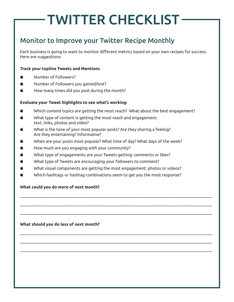## TWITTER CHECKLIST

## Monitor to Improve your Twitter Recipe Monthly

Each business is going to want to monitor different metrics based on your own recipes for success. Here are suggestions:

#### **Track your topline Tweets and Mentions**

- Number of Followers?
- Number of Followers you gained/lost?
- $\bullet$  How many times did you post during the month?

#### **Evaluate your Tweet highlights to see what's working:**

- Which content topics are getting the most reach? What about the best engagement?
- What type of content is getting the most reach and engagement: text, links, photos and video?
- What is the tone of your most popular posts? Are they sharing a feeling? Are they entertaining? Informative?
- When are your posts most popular? What time of day? What days of the week?
- $\bullet$  How much are you engaging with your community?
- What type of engagements are your Tweets getting: comments or likes?
- What type of Tweets are encouraging your followers to comment?
- What visual components are getting the most engagement: photos or videos?
- Which hashtags or hashtag combinations seem to get you the most response?

\_\_\_\_\_\_\_\_\_\_\_\_\_\_\_\_\_\_\_\_\_\_\_\_\_\_\_\_\_\_\_\_\_\_\_\_\_\_\_\_\_\_\_\_\_\_\_\_\_\_\_\_\_\_\_\_\_\_\_\_\_\_\_\_\_\_\_\_\_\_\_\_\_\_\_\_\_\_\_\_\_\_\_\_\_\_\_\_\_\_\_\_\_

\_\_\_\_\_\_\_\_\_\_\_\_\_\_\_\_\_\_\_\_\_\_\_\_\_\_\_\_\_\_\_\_\_\_\_\_\_\_\_\_\_\_\_\_\_\_\_\_\_\_\_\_\_\_\_\_\_\_\_\_\_\_\_\_\_\_\_\_\_\_\_\_\_\_\_\_\_\_\_\_\_\_\_\_\_\_\_\_\_\_\_\_\_

\_\_\_\_\_\_\_\_\_\_\_\_\_\_\_\_\_\_\_\_\_\_\_\_\_\_\_\_\_\_\_\_\_\_\_\_\_\_\_\_\_\_\_\_\_\_\_\_\_\_\_\_\_\_\_\_\_\_\_\_\_\_\_\_\_\_\_\_\_\_\_\_\_\_\_\_\_\_\_\_\_\_\_\_\_\_\_\_\_\_\_\_\_

\_\_\_\_\_\_\_\_\_\_\_\_\_\_\_\_\_\_\_\_\_\_\_\_\_\_\_\_\_\_\_\_\_\_\_\_\_\_\_\_\_\_\_\_\_\_\_\_\_\_\_\_\_\_\_\_\_\_\_\_\_\_\_\_\_\_\_\_\_\_\_\_\_\_\_\_\_\_\_\_\_\_\_\_\_\_\_\_\_\_\_\_\_

\_\_\_\_\_\_\_\_\_\_\_\_\_\_\_\_\_\_\_\_\_\_\_\_\_\_\_\_\_\_\_\_\_\_\_\_\_\_\_\_\_\_\_\_\_\_\_\_\_\_\_\_\_\_\_\_\_\_\_\_\_\_\_\_\_\_\_\_\_\_\_\_\_\_\_\_\_\_\_\_\_\_\_\_\_\_\_\_\_\_\_\_\_

\_\_\_\_\_\_\_\_\_\_\_\_\_\_\_\_\_\_\_\_\_\_\_\_\_\_\_\_\_\_\_\_\_\_\_\_\_\_\_\_\_\_\_\_\_\_\_\_\_\_\_\_\_\_\_\_\_\_\_\_\_\_\_\_\_\_\_\_\_\_\_\_\_\_\_\_\_\_\_\_\_\_\_\_\_\_\_\_\_\_\_\_\_

#### **What could you do more of next month?**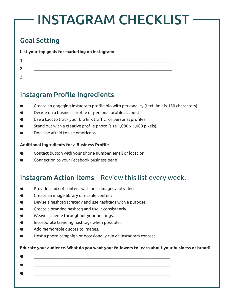## INSTAGRAM CHECKLIST

## Goal Setting

**List your top goals for marketing on Instagram:**

## Instagram Profile Ingredients

- Create an engaging Instagram profile bio with personality (text limit is 150 characters).
- Decide on a business profile or personal profile account.
- Use a tool to track your bio link traffic for personal profiles.
- $\bullet$  Stand out with a creative profile photo (size 1,080 x 1,080 pixels).
- $\bullet$  Don't be afraid to use emoticons.

#### **Additional Ingredients for a Business Profile**

- Contact button with your phone number, email or location
- $\bullet$  Connection to your Facebook business page

### Instagram Action Items – Review this list every week.

- Provide a mix of content with both images and video.
- $\bullet$  Create an image library of usable content.
- Devise a hashtag strategy and use hashtags with a purpose.
- $\bullet$  Create a branded hashtag and use it consistently.
- Weave a theme throughout your postings.
- $\bullet$  Incorporate trending hashtags when possible.
- $\bullet$  Add memorable quotes to images.
- $\bullet$  Host a photo campaign or occasionally run an Instagram contest.

#### **Educate your audience. What do you want your followers to learn about your business or brand?**